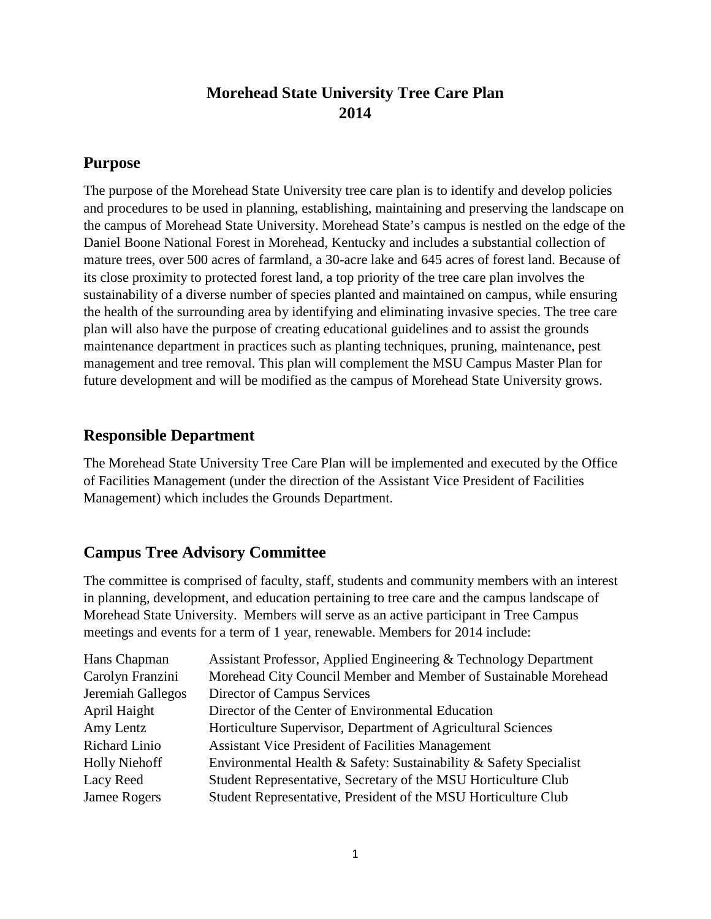# **Morehead State University Tree Care Plan 2014**

## **Purpose**

The purpose of the Morehead State University tree care plan is to identify and develop policies and procedures to be used in planning, establishing, maintaining and preserving the landscape on the campus of Morehead State University. Morehead State's campus is nestled on the edge of the Daniel Boone National Forest in Morehead, Kentucky and includes a substantial collection of mature trees, over 500 acres of farmland, a 30-acre lake and 645 acres of forest land. Because of its close proximity to protected forest land, a top priority of the tree care plan involves the sustainability of a diverse number of species planted and maintained on campus, while ensuring the health of the surrounding area by identifying and eliminating invasive species. The tree care plan will also have the purpose of creating educational guidelines and to assist the grounds maintenance department in practices such as planting techniques, pruning, maintenance, pest management and tree removal. This plan will complement the MSU Campus Master Plan for future development and will be modified as the campus of Morehead State University grows.

# **Responsible Department**

The Morehead State University Tree Care Plan will be implemented and executed by the Office of Facilities Management (under the direction of the Assistant Vice President of Facilities Management) which includes the Grounds Department.

# **Campus Tree Advisory Committee**

The committee is comprised of faculty, staff, students and community members with an interest in planning, development, and education pertaining to tree care and the campus landscape of Morehead State University. Members will serve as an active participant in Tree Campus meetings and events for a term of 1 year, renewable. Members for 2014 include:

| Assistant Professor, Applied Engineering & Technology Department  |
|-------------------------------------------------------------------|
| Morehead City Council Member and Member of Sustainable Morehead   |
| Director of Campus Services                                       |
| Director of the Center of Environmental Education                 |
| Horticulture Supervisor, Department of Agricultural Sciences      |
| <b>Assistant Vice President of Facilities Management</b>          |
| Environmental Health & Safety: Sustainability & Safety Specialist |
| Student Representative, Secretary of the MSU Horticulture Club    |
| Student Representative, President of the MSU Horticulture Club    |
|                                                                   |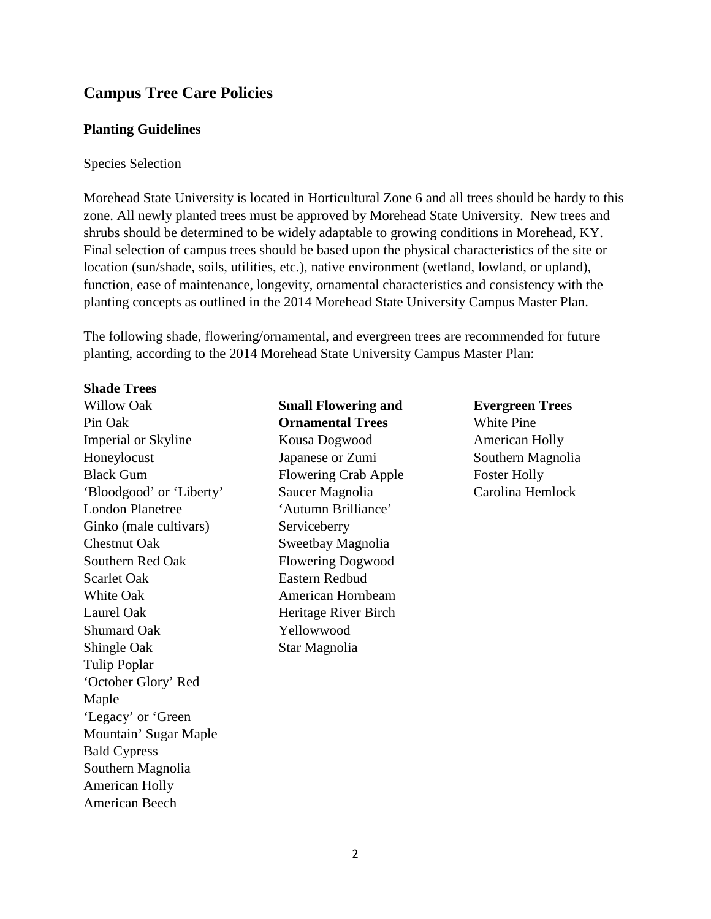## **Campus Tree Care Policies**

#### **Planting Guidelines**

#### Species Selection

Morehead State University is located in Horticultural Zone 6 and all trees should be hardy to this zone. All newly planted trees must be approved by Morehead State University. New trees and shrubs should be determined to be widely adaptable to growing conditions in Morehead, KY. Final selection of campus trees should be based upon the physical characteristics of the site or location (sun/shade, soils, utilities, etc.), native environment (wetland, lowland, or upland), function, ease of maintenance, longevity, ornamental characteristics and consistency with the planting concepts as outlined in the 2014 Morehead State University Campus Master Plan.

The following shade, flowering/ornamental, and evergreen trees are recommended for future planting, according to the 2014 Morehead State University Campus Master Plan:

#### **Shade Trees**

Willow Oak Pin Oak Imperial or Skyline Honeylocust Black Gum 'Bloodgood' or 'Liberty' London Planetree Ginko (male cultivars) Chestnut Oak Southern Red Oak Scarlet Oak White Oak Laurel Oak Shumard Oak Shingle Oak Tulip Poplar 'October Glory' Red Maple 'Legacy' or 'Green Mountain' Sugar Maple Bald Cypress Southern Magnolia American Holly American Beech

**Small Flowering and Ornamental Trees** Kousa Dogwood Japanese or Zumi Flowering Crab Apple Saucer Magnolia 'Autumn Brilliance' Serviceberry Sweetbay Magnolia Flowering Dogwood Eastern Redbud American Hornbeam Heritage River Birch Yellowwood Star Magnolia

**Evergreen Trees** White Pine American Holly Southern Magnolia Foster Holly Carolina Hemlock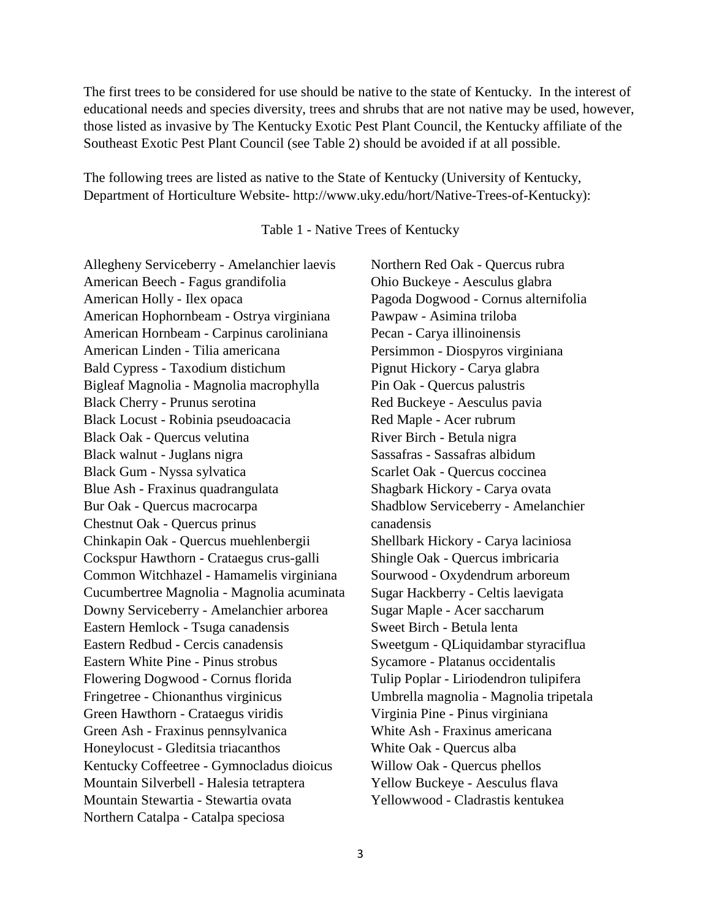The first trees to be considered for use should be native to the state of Kentucky. In the interest of educational needs and species diversity, trees and shrubs that are not native may be used, however, those listed as invasive by The Kentucky Exotic Pest Plant Council, the Kentucky affiliate of the Southeast Exotic Pest Plant Council (see Table 2) should be avoided if at all possible.

The following trees are listed as native to the State of Kentucky (University of Kentucky, Department of Horticulture Website- http://www.uky.edu/hort/Native-Trees-of-Kentucky):

#### Table 1 - Native Trees of Kentucky

Allegheny Serviceberry - Amelanchier laevis American Beech - Fagus grandifolia American Holly - Ilex opaca American Hophornbeam - Ostrya virginiana American Hornbeam - Carpinus caroliniana American Linden - Tilia americana Bald Cypress - Taxodium distichum Bigleaf Magnolia - Magnolia macrophylla Black Cherry - Prunus serotina Black Locust - Robinia pseudoacacia Black Oak - Quercus velutina Black walnut - Juglans nigra Black Gum - Nyssa sylvatica Blue Ash - Fraxinus quadrangulata Bur Oak - Quercus macrocarpa Chestnut Oak - Quercus prinus Chinkapin Oak - Quercus muehlenbergii Cockspur Hawthorn - Crataegus crus-galli Common Witchhazel - Hamamelis virginiana Cucumbertree Magnolia - Magnolia acuminata Downy Serviceberry - Amelanchier arborea Eastern Hemlock - Tsuga canadensis Eastern Redbud - Cercis canadensis Eastern White Pine - Pinus strobus Flowering Dogwood - Cornus florida Fringetree - Chionanthus virginicus Green Hawthorn - Crataegus viridis Green Ash - Fraxinus pennsylvanica Honeylocust - Gleditsia triacanthos Kentucky Coffeetree - Gymnocladus dioicus Mountain Silverbell - Halesia tetraptera Mountain Stewartia - Stewartia ovata Northern Catalpa - Catalpa speciosa

Northern Red Oak - Quercus rubra Ohio Buckeye - Aesculus glabra Pagoda Dogwood - Cornus alternifolia Pawpaw - Asimina triloba Pecan - Carya illinoinensis Persimmon - Diospyros virginiana Pignut Hickory - Carya glabra Pin Oak - Quercus palustris Red Buckeye - Aesculus pavia Red Maple - Acer rubrum River Birch - Betula nigra Sassafras - Sassafras albidum Scarlet Oak - Quercus coccinea Shagbark Hickory - Carya ovata Shadblow Serviceberry - Amelanchier canadensis Shellbark Hickory - Carya laciniosa Shingle Oak - Quercus imbricaria Sourwood - Oxydendrum arboreum Sugar Hackberry - Celtis laevigata Sugar Maple - Acer saccharum Sweet Birch - Betula lenta Sweetgum - QLiquidambar styraciflua Sycamore - Platanus occidentalis Tulip Poplar - Liriodendron tulipifera Umbrella magnolia - Magnolia tripetala Virginia Pine - Pinus virginiana White Ash - Fraxinus americana White Oak - Quercus alba Willow Oak - Quercus phellos Yellow Buckeye - Aesculus flava Yellowwood - Cladrastis kentukea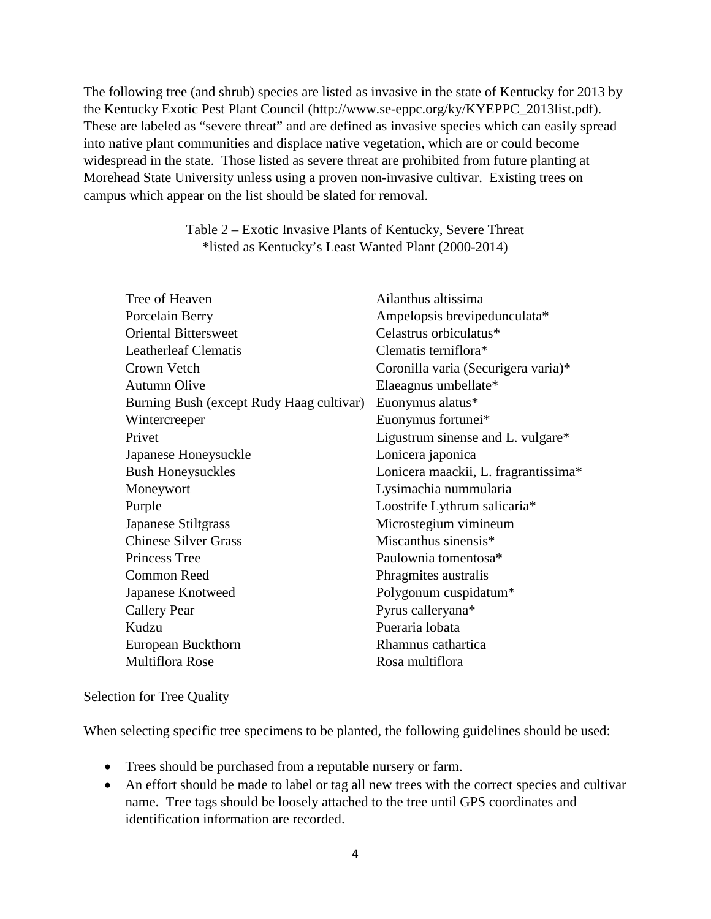The following tree (and shrub) species are listed as invasive in the state of Kentucky for 2013 by the Kentucky Exotic Pest Plant Council (http://www.se-eppc.org/ky/KYEPPC\_2013list.pdf). These are labeled as "severe threat" and are defined as invasive species which can easily spread into native plant communities and displace native vegetation, which are or could become widespread in the state. Those listed as severe threat are prohibited from future planting at Morehead State University unless using a proven non-invasive cultivar. Existing trees on campus which appear on the list should be slated for removal.

#### Table 2 – Exotic Invasive Plants of Kentucky, Severe Threat \*listed as Kentucky's Least Wanted Plant (2000-2014)

| Tree of Heaven                           | Ailanthus altissima                  |
|------------------------------------------|--------------------------------------|
| Porcelain Berry                          | Ampelopsis brevipedunculata*         |
| <b>Oriental Bittersweet</b>              | Celastrus orbiculatus*               |
| <b>Leatherleaf Clematis</b>              | Clematis terniflora*                 |
| Crown Vetch                              | Coronilla varia (Securigera varia)*  |
| <b>Autumn Olive</b>                      | Elaeagnus umbellate*                 |
| Burning Bush (except Rudy Haag cultivar) | Euonymus alatus*                     |
| Wintercreeper                            | Euonymus fortunei*                   |
| Privet                                   | Ligustrum sinense and L. vulgare*    |
| Japanese Honeysuckle                     | Lonicera japonica                    |
| <b>Bush Honeysuckles</b>                 | Lonicera maackii, L. fragrantissima* |
| Moneywort                                | Lysimachia nummularia                |
| Purple                                   | Loostrife Lythrum salicaria*         |
| Japanese Stiltgrass                      | Microstegium vimineum                |
| <b>Chinese Silver Grass</b>              | Miscanthus sinensis*                 |
| Princess Tree                            | Paulownia tomentosa*                 |
| <b>Common Reed</b>                       | Phragmites australis                 |
| Japanese Knotweed                        | Polygonum cuspidatum*                |
| <b>Callery Pear</b>                      | Pyrus calleryana*                    |
| Kudzu                                    | Pueraria lobata                      |
| European Buckthorn                       | Rhamnus cathartica                   |
| <b>Multiflora Rose</b>                   | Rosa multiflora                      |

#### Selection for Tree Quality

When selecting specific tree specimens to be planted, the following guidelines should be used:

- Trees should be purchased from a reputable nursery or farm.
- An effort should be made to label or tag all new trees with the correct species and cultivar name. Tree tags should be loosely attached to the tree until GPS coordinates and identification information are recorded.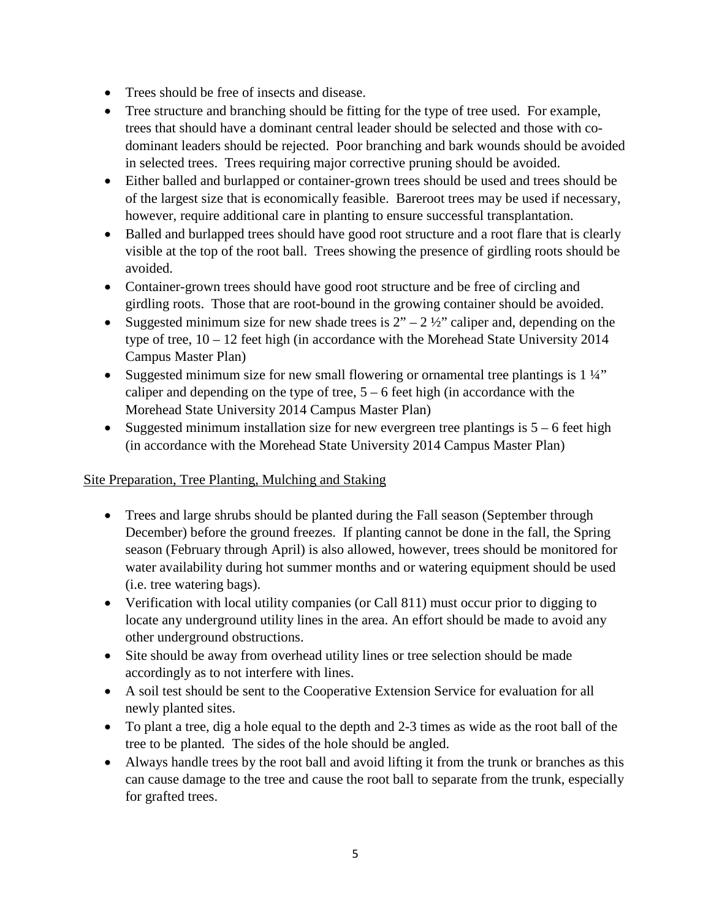- Trees should be free of insects and disease.
- Tree structure and branching should be fitting for the type of tree used. For example, trees that should have a dominant central leader should be selected and those with codominant leaders should be rejected. Poor branching and bark wounds should be avoided in selected trees. Trees requiring major corrective pruning should be avoided.
- Either balled and burlapped or container-grown trees should be used and trees should be of the largest size that is economically feasible. Bareroot trees may be used if necessary, however, require additional care in planting to ensure successful transplantation.
- Balled and burlapped trees should have good root structure and a root flare that is clearly visible at the top of the root ball. Trees showing the presence of girdling roots should be avoided.
- Container-grown trees should have good root structure and be free of circling and girdling roots. Those that are root-bound in the growing container should be avoided.
- Suggested minimum size for new shade trees is  $2^{\prime\prime}$  2 ½" caliper and, depending on the type of tree, 10 – 12 feet high (in accordance with the Morehead State University 2014 Campus Master Plan)
- Suggested minimum size for new small flowering or ornamental tree plantings is 1 ¼" caliper and depending on the type of tree,  $5 - 6$  feet high (in accordance with the Morehead State University 2014 Campus Master Plan)
- Suggested minimum installation size for new evergreen tree plantings is  $5 6$  feet high (in accordance with the Morehead State University 2014 Campus Master Plan)

### Site Preparation, Tree Planting, Mulching and Staking

- Trees and large shrubs should be planted during the Fall season (September through December) before the ground freezes. If planting cannot be done in the fall, the Spring season (February through April) is also allowed, however, trees should be monitored for water availability during hot summer months and or watering equipment should be used (i.e. tree watering bags).
- Verification with local utility companies (or Call 811) must occur prior to digging to locate any underground utility lines in the area. An effort should be made to avoid any other underground obstructions.
- Site should be away from overhead utility lines or tree selection should be made accordingly as to not interfere with lines.
- A soil test should be sent to the Cooperative Extension Service for evaluation for all newly planted sites.
- To plant a tree, dig a hole equal to the depth and 2-3 times as wide as the root ball of the tree to be planted. The sides of the hole should be angled.
- Always handle trees by the root ball and avoid lifting it from the trunk or branches as this can cause damage to the tree and cause the root ball to separate from the trunk, especially for grafted trees.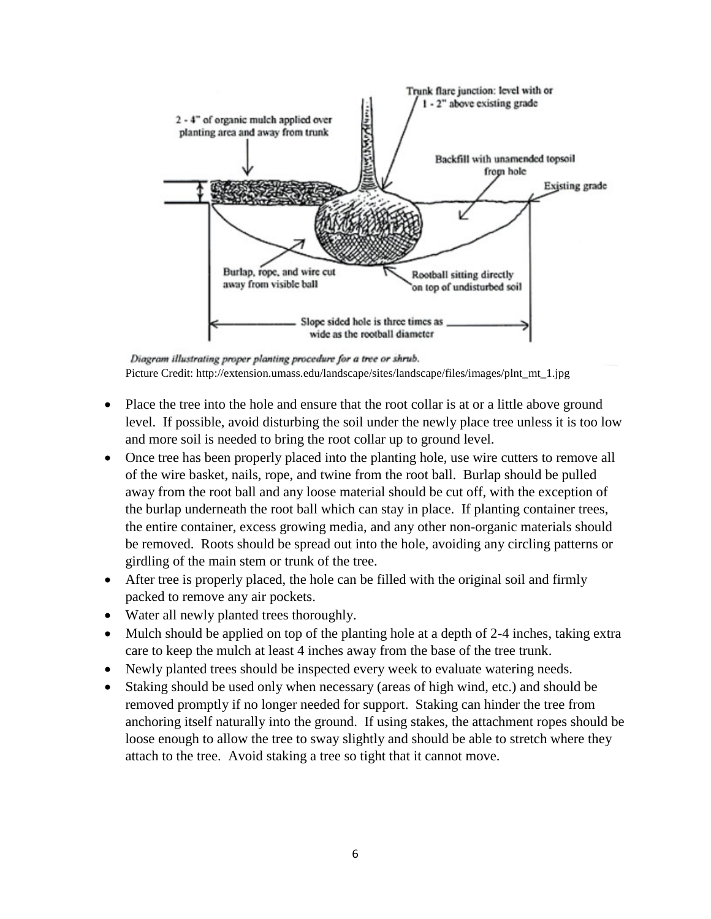

Diagram illustrating proper planting procedure for a tree or shrub. Picture Credit: http://extension.umass.edu/landscape/sites/landscape/files/images/plnt\_mt\_1.jpg

- Place the tree into the hole and ensure that the root collar is at or a little above ground level. If possible, avoid disturbing the soil under the newly place tree unless it is too low and more soil is needed to bring the root collar up to ground level.
- Once tree has been properly placed into the planting hole, use wire cutters to remove all of the wire basket, nails, rope, and twine from the root ball. Burlap should be pulled away from the root ball and any loose material should be cut off, with the exception of the burlap underneath the root ball which can stay in place. If planting container trees, the entire container, excess growing media, and any other non-organic materials should be removed. Roots should be spread out into the hole, avoiding any circling patterns or girdling of the main stem or trunk of the tree.
- After tree is properly placed, the hole can be filled with the original soil and firmly packed to remove any air pockets.
- Water all newly planted trees thoroughly.
- Mulch should be applied on top of the planting hole at a depth of 2-4 inches, taking extra care to keep the mulch at least 4 inches away from the base of the tree trunk.
- Newly planted trees should be inspected every week to evaluate watering needs.
- Staking should be used only when necessary (areas of high wind, etc.) and should be removed promptly if no longer needed for support. Staking can hinder the tree from anchoring itself naturally into the ground. If using stakes, the attachment ropes should be loose enough to allow the tree to sway slightly and should be able to stretch where they attach to the tree. Avoid staking a tree so tight that it cannot move.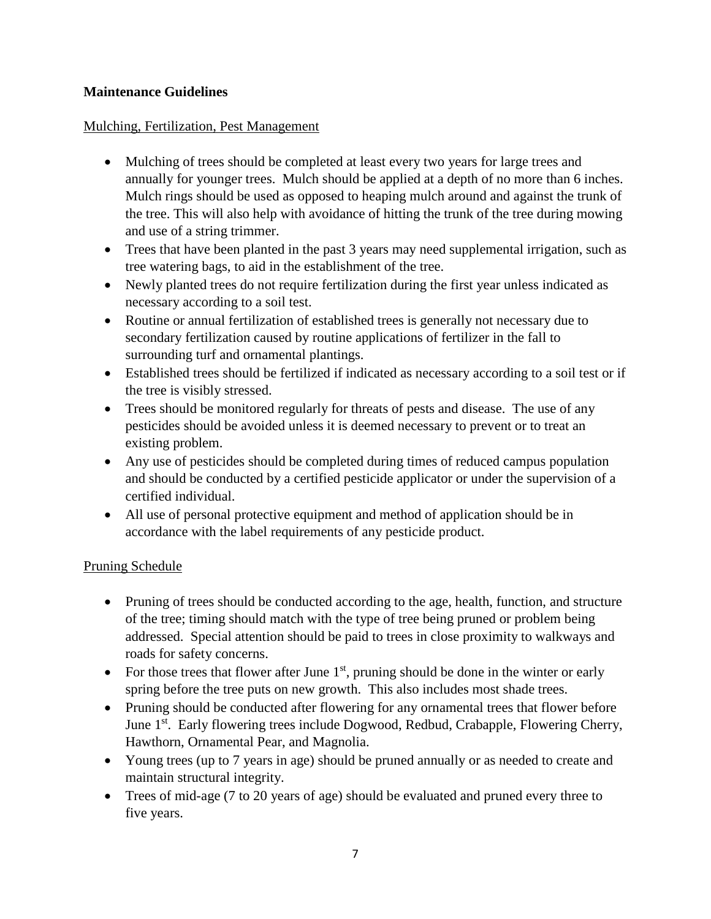### **Maintenance Guidelines**

### Mulching, Fertilization, Pest Management

- Mulching of trees should be completed at least every two years for large trees and annually for younger trees. Mulch should be applied at a depth of no more than 6 inches. Mulch rings should be used as opposed to heaping mulch around and against the trunk of the tree. This will also help with avoidance of hitting the trunk of the tree during mowing and use of a string trimmer.
- Trees that have been planted in the past 3 years may need supplemental irrigation, such as tree watering bags, to aid in the establishment of the tree.
- Newly planted trees do not require fertilization during the first year unless indicated as necessary according to a soil test.
- Routine or annual fertilization of established trees is generally not necessary due to secondary fertilization caused by routine applications of fertilizer in the fall to surrounding turf and ornamental plantings.
- Established trees should be fertilized if indicated as necessary according to a soil test or if the tree is visibly stressed.
- Trees should be monitored regularly for threats of pests and disease. The use of any pesticides should be avoided unless it is deemed necessary to prevent or to treat an existing problem.
- Any use of pesticides should be completed during times of reduced campus population and should be conducted by a certified pesticide applicator or under the supervision of a certified individual.
- All use of personal protective equipment and method of application should be in accordance with the label requirements of any pesticide product.

### Pruning Schedule

- Pruning of trees should be conducted according to the age, health, function, and structure of the tree; timing should match with the type of tree being pruned or problem being addressed. Special attention should be paid to trees in close proximity to walkways and roads for safety concerns.
- For those trees that flower after June  $1<sup>st</sup>$ , pruning should be done in the winter or early spring before the tree puts on new growth. This also includes most shade trees.
- Pruning should be conducted after flowering for any ornamental trees that flower before June 1<sup>st</sup>. Early flowering trees include Dogwood, Redbud, Crabapple, Flowering Cherry, Hawthorn, Ornamental Pear, and Magnolia.
- Young trees (up to 7 years in age) should be pruned annually or as needed to create and maintain structural integrity.
- Trees of mid-age (7 to 20 years of age) should be evaluated and pruned every three to five years.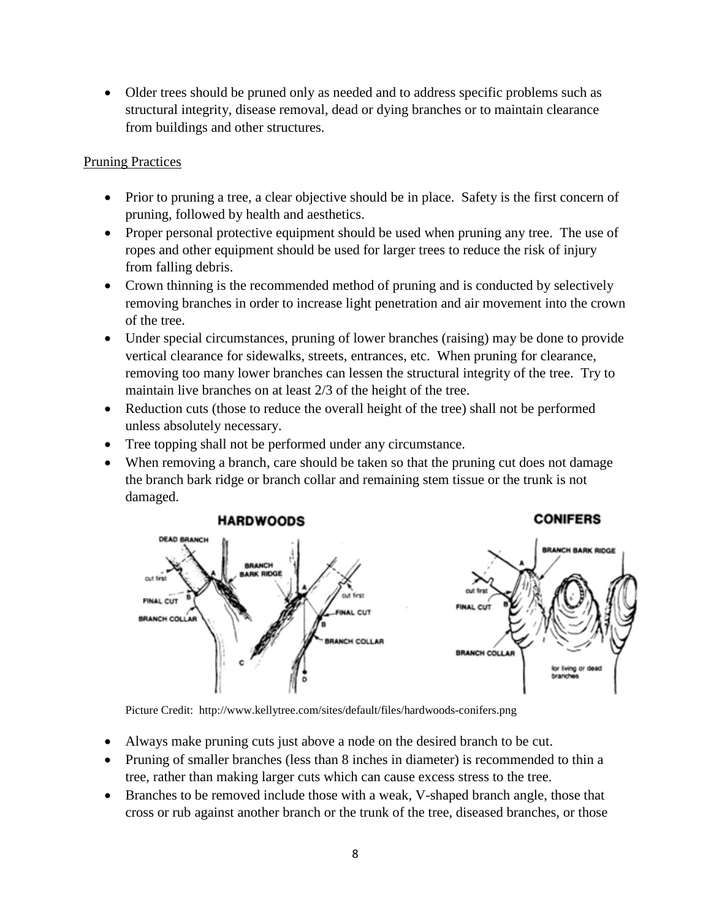• Older trees should be pruned only as needed and to address specific problems such as structural integrity, disease removal, dead or dying branches or to maintain clearance from buildings and other structures.

#### Pruning Practices

- Prior to pruning a tree, a clear objective should be in place. Safety is the first concern of pruning, followed by health and aesthetics.
- Proper personal protective equipment should be used when pruning any tree. The use of ropes and other equipment should be used for larger trees to reduce the risk of injury from falling debris.
- Crown thinning is the recommended method of pruning and is conducted by selectively removing branches in order to increase light penetration and air movement into the crown of the tree.
- Under special circumstances, pruning of lower branches (raising) may be done to provide vertical clearance for sidewalks, streets, entrances, etc. When pruning for clearance, removing too many lower branches can lessen the structural integrity of the tree. Try to maintain live branches on at least 2/3 of the height of the tree.
- Reduction cuts (those to reduce the overall height of the tree) shall not be performed unless absolutely necessary.
- Tree topping shall not be performed under any circumstance.
- When removing a branch, care should be taken so that the pruning cut does not damage the branch bark ridge or branch collar and remaining stem tissue or the trunk is not damaged.



Picture Credit: http://www.kellytree.com/sites/default/files/hardwoods-conifers.png

- Always make pruning cuts just above a node on the desired branch to be cut.
- Pruning of smaller branches (less than 8 inches in diameter) is recommended to thin a tree, rather than making larger cuts which can cause excess stress to the tree.
- Branches to be removed include those with a weak, V-shaped branch angle, those that cross or rub against another branch or the trunk of the tree, diseased branches, or those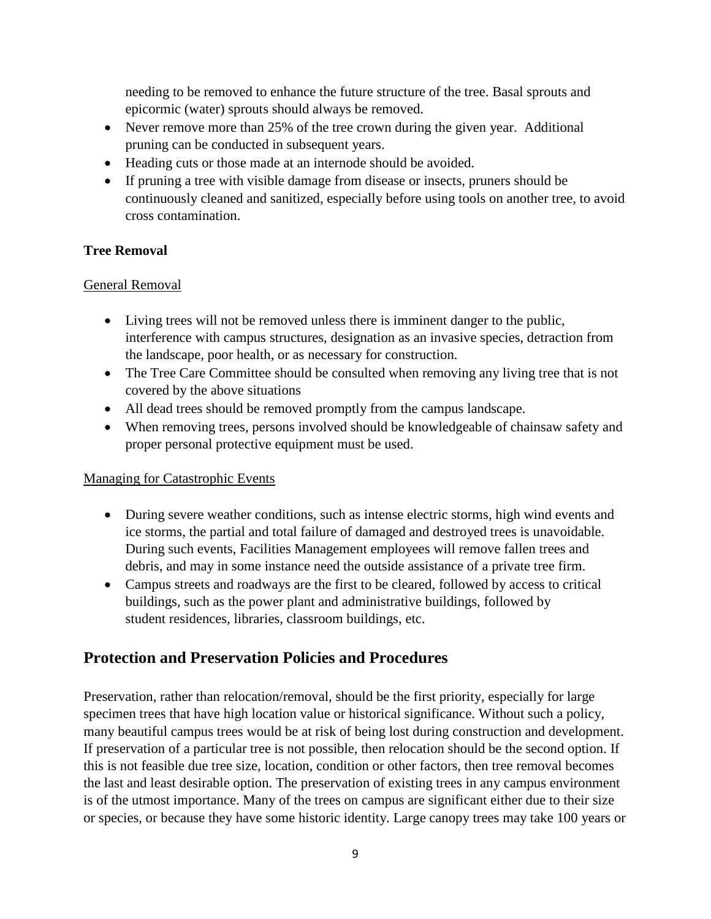needing to be removed to enhance the future structure of the tree. Basal sprouts and epicormic (water) sprouts should always be removed.

- Never remove more than 25% of the tree crown during the given year. Additional pruning can be conducted in subsequent years.
- Heading cuts or those made at an internode should be avoided.
- If pruning a tree with visible damage from disease or insects, pruners should be continuously cleaned and sanitized, especially before using tools on another tree, to avoid cross contamination.

## **Tree Removal**

### General Removal

- Living trees will not be removed unless there is imminent danger to the public, interference with campus structures, designation as an invasive species, detraction from the landscape, poor health, or as necessary for construction.
- The Tree Care Committee should be consulted when removing any living tree that is not covered by the above situations
- All dead trees should be removed promptly from the campus landscape.
- When removing trees, persons involved should be knowledgeable of chainsaw safety and proper personal protective equipment must be used.

### Managing for Catastrophic Events

- During severe weather conditions, such as intense electric storms, high wind events and ice storms, the partial and total failure of damaged and destroyed trees is unavoidable. During such events, Facilities Management employees will remove fallen trees and debris, and may in some instance need the outside assistance of a private tree firm.
- Campus streets and roadways are the first to be cleared, followed by access to critical buildings, such as the power plant and administrative buildings, followed by student residences, libraries, classroom buildings, etc.

# **Protection and Preservation Policies and Procedures**

Preservation, rather than relocation/removal, should be the first priority, especially for large specimen trees that have high location value or historical significance. Without such a policy, many beautiful campus trees would be at risk of being lost during construction and development. If preservation of a particular tree is not possible, then relocation should be the second option. If this is not feasible due tree size, location, condition or other factors, then tree removal becomes the last and least desirable option. The preservation of existing trees in any campus environment is of the utmost importance. Many of the trees on campus are significant either due to their size or species, or because they have some historic identity. Large canopy trees may take 100 years or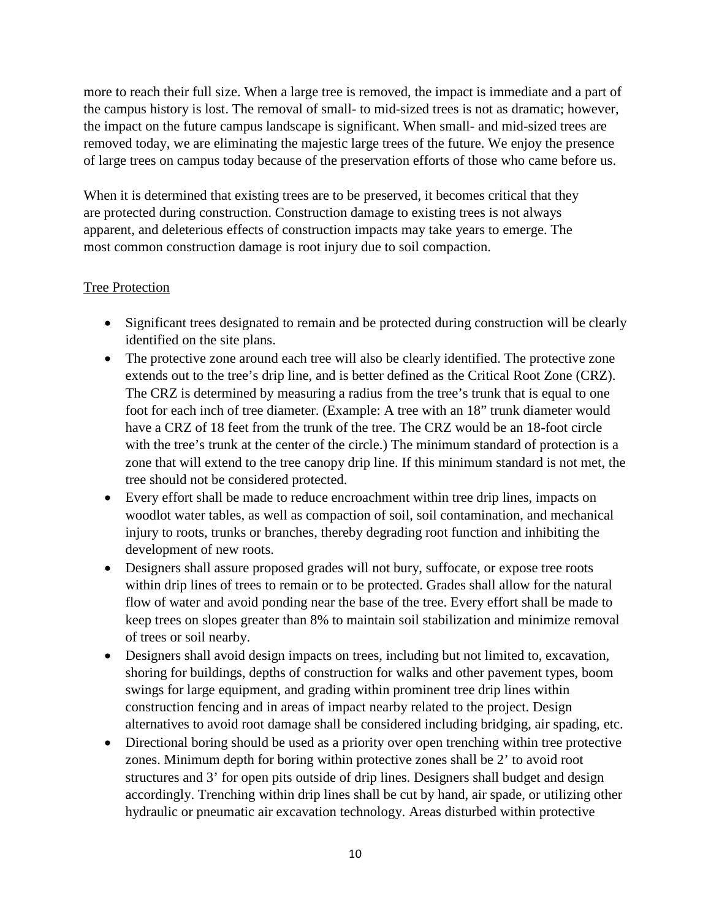more to reach their full size. When a large tree is removed, the impact is immediate and a part of the campus history is lost. The removal of small- to mid-sized trees is not as dramatic; however, the impact on the future campus landscape is significant. When small- and mid-sized trees are removed today, we are eliminating the majestic large trees of the future. We enjoy the presence of large trees on campus today because of the preservation efforts of those who came before us.

When it is determined that existing trees are to be preserved, it becomes critical that they are protected during construction. Construction damage to existing trees is not always apparent, and deleterious effects of construction impacts may take years to emerge. The most common construction damage is root injury due to soil compaction.

#### Tree Protection

- Significant trees designated to remain and be protected during construction will be clearly identified on the site plans.
- The protective zone around each tree will also be clearly identified. The protective zone extends out to the tree's drip line, and is better defined as the Critical Root Zone (CRZ). The CRZ is determined by measuring a radius from the tree's trunk that is equal to one foot for each inch of tree diameter. (Example: A tree with an 18" trunk diameter would have a CRZ of 18 feet from the trunk of the tree. The CRZ would be an 18-foot circle with the tree's trunk at the center of the circle.) The minimum standard of protection is a zone that will extend to the tree canopy drip line. If this minimum standard is not met, the tree should not be considered protected.
- Every effort shall be made to reduce encroachment within tree drip lines, impacts on woodlot water tables, as well as compaction of soil, soil contamination, and mechanical injury to roots, trunks or branches, thereby degrading root function and inhibiting the development of new roots.
- Designers shall assure proposed grades will not bury, suffocate, or expose tree roots within drip lines of trees to remain or to be protected. Grades shall allow for the natural flow of water and avoid ponding near the base of the tree. Every effort shall be made to keep trees on slopes greater than 8% to maintain soil stabilization and minimize removal of trees or soil nearby.
- Designers shall avoid design impacts on trees, including but not limited to, excavation, shoring for buildings, depths of construction for walks and other pavement types, boom swings for large equipment, and grading within prominent tree drip lines within construction fencing and in areas of impact nearby related to the project. Design alternatives to avoid root damage shall be considered including bridging, air spading, etc.
- Directional boring should be used as a priority over open trenching within tree protective zones. Minimum depth for boring within protective zones shall be 2' to avoid root structures and 3' for open pits outside of drip lines. Designers shall budget and design accordingly. Trenching within drip lines shall be cut by hand, air spade, or utilizing other hydraulic or pneumatic air excavation technology. Areas disturbed within protective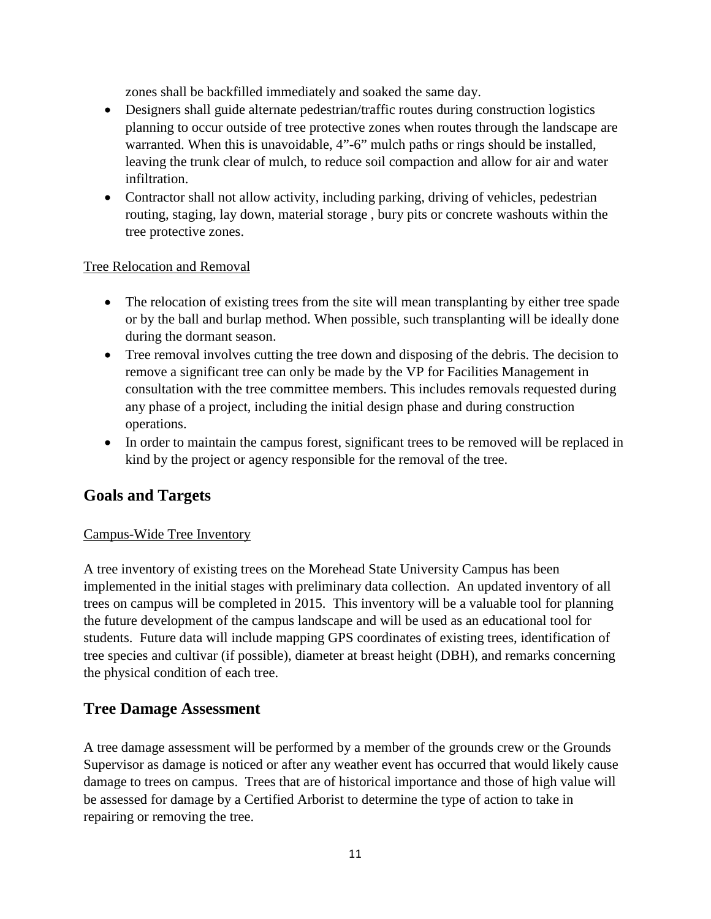zones shall be backfilled immediately and soaked the same day.

- Designers shall guide alternate pedestrian/traffic routes during construction logistics planning to occur outside of tree protective zones when routes through the landscape are warranted. When this is unavoidable, 4"-6" mulch paths or rings should be installed, leaving the trunk clear of mulch, to reduce soil compaction and allow for air and water infiltration.
- Contractor shall not allow activity, including parking, driving of vehicles, pedestrian routing, staging, lay down, material storage , bury pits or concrete washouts within the tree protective zones.

#### Tree Relocation and Removal

- The relocation of existing trees from the site will mean transplanting by either tree spade or by the ball and burlap method. When possible, such transplanting will be ideally done during the dormant season.
- Tree removal involves cutting the tree down and disposing of the debris. The decision to remove a significant tree can only be made by the VP for Facilities Management in consultation with the tree committee members. This includes removals requested during any phase of a project, including the initial design phase and during construction operations.
- In order to maintain the campus forest, significant trees to be removed will be replaced in kind by the project or agency responsible for the removal of the tree.

# **Goals and Targets**

### Campus-Wide Tree Inventory

A tree inventory of existing trees on the Morehead State University Campus has been implemented in the initial stages with preliminary data collection. An updated inventory of all trees on campus will be completed in 2015. This inventory will be a valuable tool for planning the future development of the campus landscape and will be used as an educational tool for students. Future data will include mapping GPS coordinates of existing trees, identification of tree species and cultivar (if possible), diameter at breast height (DBH), and remarks concerning the physical condition of each tree.

## **Tree Damage Assessment**

A tree damage assessment will be performed by a member of the grounds crew or the Grounds Supervisor as damage is noticed or after any weather event has occurred that would likely cause damage to trees on campus. Trees that are of historical importance and those of high value will be assessed for damage by a Certified Arborist to determine the type of action to take in repairing or removing the tree.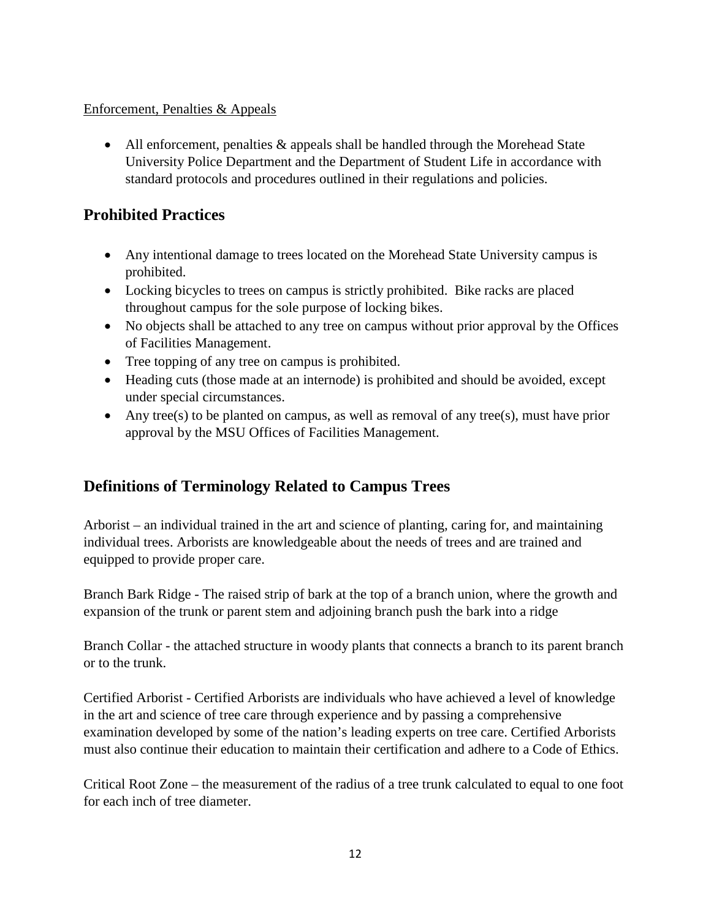### Enforcement, Penalties & Appeals

• All enforcement, penalties & appeals shall be handled through the Morehead State University Police Department and the Department of Student Life in accordance with standard protocols and procedures outlined in their regulations and policies.

# **Prohibited Practices**

- Any intentional damage to trees located on the Morehead State University campus is prohibited.
- Locking bicycles to trees on campus is strictly prohibited. Bike racks are placed throughout campus for the sole purpose of locking bikes.
- No objects shall be attached to any tree on campus without prior approval by the Offices of Facilities Management.
- Tree topping of any tree on campus is prohibited.
- Heading cuts (those made at an internode) is prohibited and should be avoided, except under special circumstances.
- Any tree(s) to be planted on campus, as well as removal of any tree(s), must have prior approval by the MSU Offices of Facilities Management.

# **Definitions of Terminology Related to Campus Trees**

Arborist – an individual trained in the art and science of planting, caring for, and maintaining individual trees. Arborists are knowledgeable about the needs of trees and are trained and equipped to provide proper care.

Branch Bark Ridge - The raised strip of bark at the top of a branch union, where the growth and expansion of the trunk or parent stem and adjoining branch push the bark into a ridge

Branch Collar - the attached structure in woody plants that connects a branch to its parent branch or to the trunk.

Certified Arborist - Certified Arborists are individuals who have achieved a level of knowledge in the art and science of tree care through experience and by passing a comprehensive examination developed by some of the nation's leading experts on tree care. Certified Arborists must also continue their education to maintain their certification and adhere to a Code of Ethics.

Critical Root Zone – the measurement of the radius of a tree trunk calculated to equal to one foot for each inch of tree diameter.